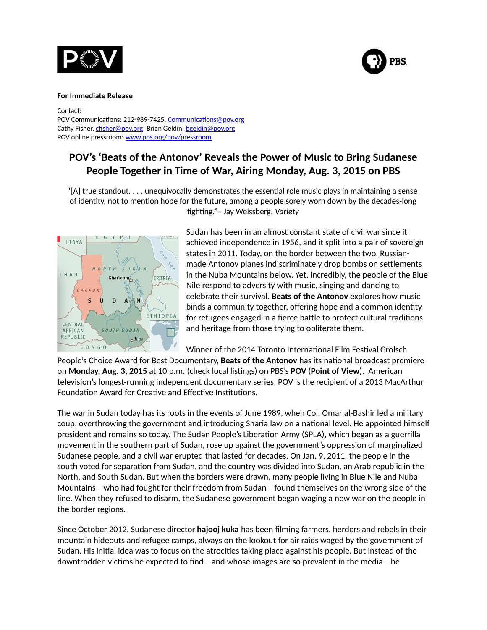



#### **For Immediate Release**

Contact:

POV Communications: 212-989-7425. [Communications@pov.org](mailto:Communications@pov.org)  Cathy Fisher, [cfisher@pov.org;](mailto:cfisher@pov.org) Brian Geldin, [bgeldin@pov.org](mailto:bgeldin@pov.org)  POV online pressroom: [www.pbs.org/pov/pressroom](http://www.pbs.org/pov/pressroom)

# **POV's 'Beats of the Antonov' Reveals the Power of Music to Bring Sudanese People Together in Time of War, Airing Monday, Aug. 3, 2015 on PBS**

"[A] true standout. . . . unequivocally demonstrates the essential role music plays in maintaining a sense of identity, not to mention hope for the future, among a people sorely worn down by the decades-long fighting."– Jay Weissberg, *Variety*



Sudan has been in an almost constant state of civil war since it achieved independence in 1956, and it split into a pair of sovereign states in 2011. Today, on the border between the two, Russianmade Antonov planes indiscriminately drop bombs on settlements in the Nuba Mountains below. Yet, incredibly, the people of the Blue Nile respond to adversity with music, singing and dancing to celebrate their survival. **Beats of the Antonov** explores how music binds a community together, offering hope and a common identity for refugees engaged in a fierce battle to protect cultural traditions and heritage from those trying to obliterate them.

Winner of the 2014 Toronto International Film Festival Grolsch

People's Choice Award for Best Documentary, **Beats of the Antonov** has its national broadcast premiere on **Monday, Aug. 3, 2015** at 10 p.m. [\(check local listings\)](http://www.pbs.org/tv_schedules/) on PBS's **POV** (**Point of View**). American television's longest-running independent documentary series, POV is the recipient of a 2013 MacArthur Foundation Award for Creative and Effective Institutions.

The war in Sudan today has its roots in the events of June 1989, when Col. Omar al-Bashir led a military coup, overthrowing the government and introducing Sharia law on a national level. He appointed himself president and remains so today. The Sudan People's Liberation Army (SPLA), which began as a guerrilla movement in the southern part of Sudan, rose up against the government's oppression of marginalized Sudanese people, and a civil war erupted that lasted for decades. On Jan. 9, 2011, the people in the south voted for separation from Sudan, and the country was divided into Sudan, an Arab republic in the North, and South Sudan. But when the borders were drawn, many people living in Blue Nile and Nuba Mountains—who had fought for their freedom from Sudan—found themselves on the wrong side of the line. When they refused to disarm, the Sudanese government began waging a new war on the people in the border regions.

Since October 2012, Sudanese director **hajooj kuka** has been filming farmers, herders and rebels in their mountain hideouts and refugee camps, always on the lookout for air raids waged by the government of Sudan. His initial idea was to focus on the atrocities taking place against his people. But instead of the downtrodden victims he expected to find—and whose images are so prevalent in the media—he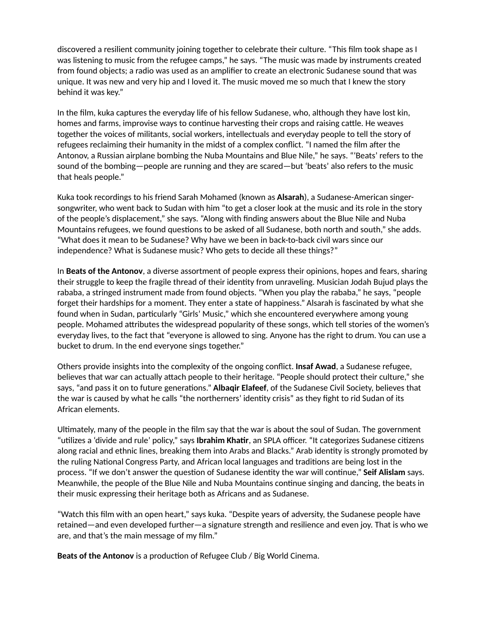discovered a resilient community joining together to celebrate their culture. "This film took shape as I was listening to music from the refugee camps," he says. "The music was made by instruments created from found objects; a radio was used as an amplifier to create an electronic Sudanese sound that was unique. It was new and very hip and I loved it. The music moved me so much that I knew the story behind it was key."

In the film, kuka captures the everyday life of his fellow Sudanese, who, although they have lost kin, homes and farms, improvise ways to continue harvesting their crops and raising cattle. He weaves together the voices of militants, social workers, intellectuals and everyday people to tell the story of refugees reclaiming their humanity in the midst of a complex conflict. "I named the film after the Antonov, a Russian airplane bombing the Nuba Mountains and Blue Nile," he says. "ʻBeats' refers to the sound of the bombing—people are running and they are scared—but 'beats' also refers to the music that heals people."

Kuka took recordings to his friend Sarah Mohamed (known as **Alsarah**), a Sudanese-American singersongwriter, who went back to Sudan with him "to get a closer look at the music and its role in the story of the people's displacement," she says. "Along with finding answers about the Blue Nile and Nuba Mountains refugees, we found questions to be asked of all Sudanese, both north and south," she adds. "What does it mean to be Sudanese? Why have we been in back-to-back civil wars since our independence? What is Sudanese music? Who gets to decide all these things?"

In **Beats of the Antonov**, a diverse assortment of people express their opinions, hopes and fears, sharing their struggle to keep the fragile thread of their identity from unraveling. Musician Jodah Bujud plays the rababa, a stringed instrument made from found objects. "When you play the rababa," he says, "people forget their hardships for a moment. They enter a state of happiness." Alsarah is fascinated by what she found when in Sudan, particularly "Girls' Music," which she encountered everywhere among young people. Mohamed attributes the widespread popularity of these songs, which tell stories of the women's everyday lives, to the fact that "everyone is allowed to sing. Anyone has the right to drum. You can use a bucket to drum. In the end everyone sings together."

Others provide insights into the complexity of the ongoing conflict. **Insaf Awad**, a Sudanese refugee, believes that war can actually attach people to their heritage. "People should protect their culture," she says, "and pass it on to future generations." **Albaqir Elafeef**, of the Sudanese Civil Society, believes that the war is caused by what he calls "the northerners' identity crisis" as they fight to rid Sudan of its African elements.

Ultimately, many of the people in the film say that the war is about the soul of Sudan. The government "utilizes a 'divide and rule' policy," says **Ibrahim Khatir**, an SPLA officer. "It categorizes Sudanese citizens along racial and ethnic lines, breaking them into Arabs and Blacks." Arab identity is strongly promoted by the ruling National Congress Party, and African local languages and traditions are being lost in the process. "If we don't answer the question of Sudanese identity the war will continue," **Seif Alislam** says. Meanwhile, the people of the Blue Nile and Nuba Mountains continue singing and dancing, the beats in their music expressing their heritage both as Africans and as Sudanese.

"Watch this film with an open heart," says kuka. "Despite years of adversity, the Sudanese people have retained—and even developed further—a signature strength and resilience and even joy. That is who we are, and that's the main message of my film."

**Beats of the Antonov** is a production of Refugee Club / Big World Cinema.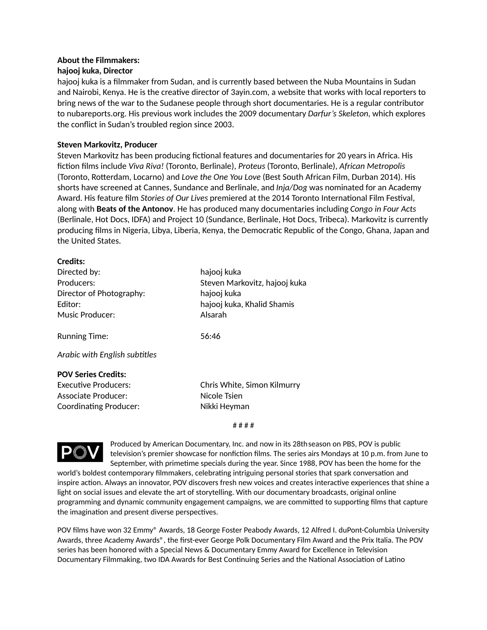# **About the Filmmakers:**

## **hajooj kuka, Director**

hajooj kuka is a filmmaker from Sudan, and is currently based between the Nuba Mountains in Sudan and Nairobi, Kenya. He is the creative director of 3ayin.com, a website that works with local reporters to bring news of the war to the Sudanese people through short documentaries. He is a regular contributor to nubareports.org. His previous work includes the 2009 documentary *Darfur's Skeleton*, which explores the conflict in Sudan's troubled region since 2003.

# **Steven Markovitz, Producer**

Steven Markovitz has been producing fictional features and documentaries for 20 years in Africa. His fiction films include *Viva Riva!* (Toronto, Berlinale), *Proteus* (Toronto, Berlinale), *African Metropolis* (Toronto, Rotterdam, Locarno) and *Love the One You Love* (Best South African Film, Durban 2014). His shorts have screened at Cannes, Sundance and Berlinale, and *Inja/Dog* was nominated for an Academy Award. His feature film *Stories of Our Lives* premiered at the 2014 Toronto International Film Festival, along with **Beats of the Antonov**. He has produced many documentaries including *Congo in Four Acts* (Berlinale, Hot Docs, IDFA) and Project 10 (Sundance, Berlinale, Hot Docs, Tribeca). Markovitz is currently producing films in Nigeria, Libya, Liberia, Kenya, the Democratic Republic of the Congo, Ghana, Japan and the United States.

## **Credits:**

| Directed by:<br>Producers:<br>Director of Photography:<br>Fditor:<br>Music Producer:                              | hajooj kuka<br>Steven Markovitz, hajooj kuka<br>hajooj kuka<br>hajooj kuka, Khalid Shamis<br>Alsarah |
|-------------------------------------------------------------------------------------------------------------------|------------------------------------------------------------------------------------------------------|
| Running Time:                                                                                                     | 56:46                                                                                                |
| Arabic with English subtitles                                                                                     |                                                                                                      |
| <b>POV Series Credits:</b><br><b>Executive Producers:</b><br>Associate Producer:<br><b>Coordinating Producer:</b> | Chris White, Simon Kilmurry<br>Nicole Tsien<br>Nikki Heyman                                          |

#### # # # #



Produced by American Documentary, Inc. and now in its 28thseason on PBS, POV is public television's premier showcase for nonfiction films. The series airs Mondays at 10 p.m. from June to September, with primetime specials during the year. Since 1988, POV has been the home for the

world's boldest contemporary filmmakers, celebrating intriguing personal stories that spark conversation and inspire action. Always an innovator, POV discovers fresh new voices and creates interactive experiences that shine a light on social issues and elevate the art of storytelling. With our documentary broadcasts, original online programming and dynamic community engagement campaigns, we are committed to supporting films that capture the imagination and present diverse perspectives.

POV films have won 32 Emmy® Awards, 18 George Foster Peabody Awards, 12 Alfred I. duPont-Columbia University Awards, three Academy Awards®, the first-ever George Polk Documentary Film Award and the Prix Italia. The POV series has been honored with a Special News & Documentary Emmy Award for Excellence in Television Documentary Filmmaking, two IDA Awards for Best Continuing Series and the National Association of Latino